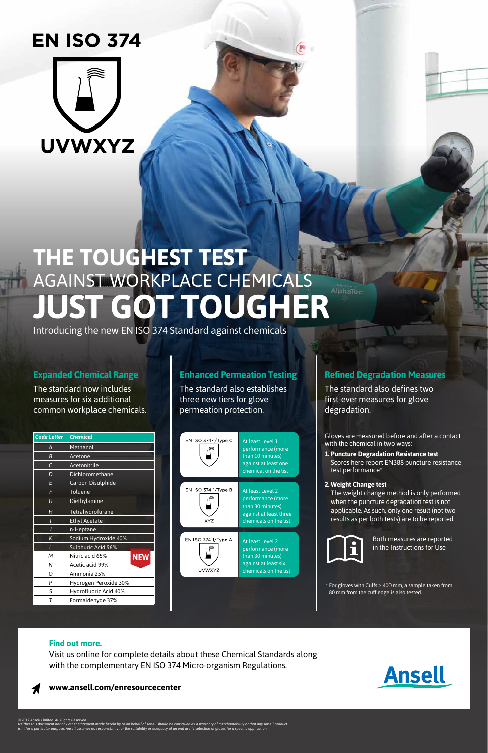### **Find out more.**

Visit us online for complete details about these Chemical Standards along with the complementary EN ISO 374 Micro-organism Regulations.



### **www.ansell.com/enresourcecenter**

**Ansell** 

### **Expanded Chemical Range**

The standard now includes measures for six additional common workplace chemicals.

### **Enhanced Permeation Testing**

The standard also establishes three new tiers for glove permeation protection.

## **Refined Degradation Measures**

The standard also defines two first-ever measures for glove degradation.

Gloves are measured before and after a contact with the chemical in two ways:

- **1. Puncture Degradation Resistance test**  Scores here report EN388 puncture resistance test performance\*
- **2. Weight Change test**

The weight change method is only performed when the puncture degradation test is not applicable. As such, only one result (not two results as per both tests) are to be reported.



*© 2017 Ansell Limited. All Rights Reserved* Neither this document nor any other statement made herein by or on behalf of Ansell should be construed as a warranty of merchantability or that any Ansell product<br>is fit for a particular purpose. Ansell assumes no respons Both measures are reported in the Instructions for Use

\* For gloves with Cuffs ≥ 400 mm, a sample taken from 80 mm from the cuff edge is also tested.



| <b>Code Letter</b> | <b>Chemical</b>               |
|--------------------|-------------------------------|
| А                  | Methanol                      |
| B                  | Acetone                       |
| C                  | Acetonitrile                  |
| D                  | Dichloromethane               |
| E                  | <b>Carbon Disulphide</b>      |
| F                  | Toluene                       |
| G                  | Diethylamine                  |
| н                  | Tetrahydrofurane              |
| ı                  | <b>Ethyl Acetate</b>          |
| J                  | n-Heptane                     |
| K                  | Sodium Hydroxide 40%          |
|                    | Sulphuric Acid 96%            |
| М                  | Nitric acid 65%<br><b>NEW</b> |
| Ν                  | Acetic acid 99%               |
| റ                  | Ammonia 25%                   |
| P                  | Hydrogen Peroxide 30%         |
| S                  | Hydrofluoric Acid 40%         |
| т                  | Formaldehyde 37%              |



# **EN ISO 374**



# **THE TOUGHEST TEST** AGAINST WORKPLACE CHEMICALS **JUST GOT TOUGHER**

Introducing the new EN ISO 374 Standard against chemicals